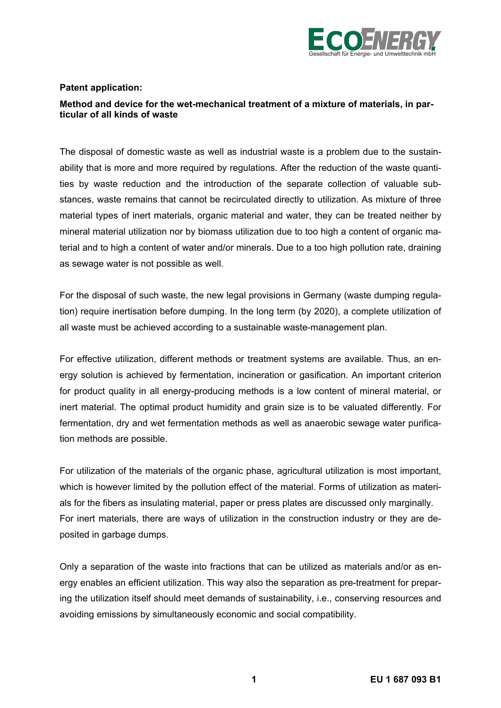

## **Patent application:**

# **Method and device for the wet-mechanical treatment of a mixture of materials, in particular of all kinds of waste**

The disposal of domestic waste as well as industrial waste is a problem due to the sustainability that is more and more required by regulations. After the reduction of the waste quantities by waste reduction and the introduction of the separate collection of valuable substances, waste remains that cannot be recirculated directly to utilization. As mixture of three material types of inert materials, organic material and water, they can be treated neither by mineral material utilization nor by biomass utilization due to too high a content of organic material and to high a content of water and/or minerals. Due to a too high pollution rate, draining as sewage water is not possible as well.

For the disposal of such waste, the new legal provisions in Germany (waste dumping regulation) require inertisation before dumping. In the long term (by 2020), a complete utilization of all waste must be achieved according to a sustainable waste-management plan.

For effective utilization, different methods or treatment systems are available. Thus, an energy solution is achieved by fermentation, incineration or gasification. An important criterion for product quality in all energy-producing methods is a low content of mineral material, or inert material. The optimal product humidity and grain size is to be valuated differently. For fermentation, dry and wet fermentation methods as well as anaerobic sewage water purification methods are possible.

For utilization of the materials of the organic phase, agricultural utilization is most important, which is however limited by the pollution effect of the material. Forms of utilization as materials for the fibers as insulating material, paper or press plates are discussed only marginally. For inert materials, there are ways of utilization in the construction industry or they are deposited in garbage dumps.

Only a separation of the waste into fractions that can be utilized as materials and/or as energy enables an efficient utilization. This way also the separation as pre-treatment for preparing the utilization itself should meet demands of sustainability, i.e., conserving resources and avoiding emissions by simultaneously economic and social compatibility.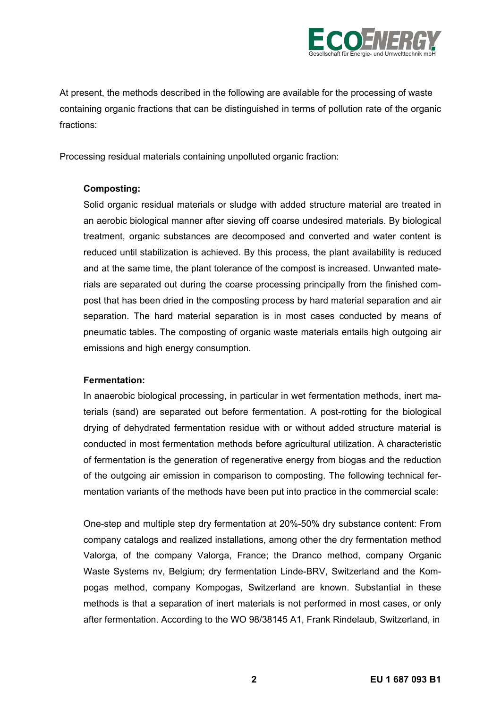

At present, the methods described in the following are available for the processing of waste containing organic fractions that can be distinguished in terms of pollution rate of the organic fractions:

Processing residual materials containing unpolluted organic fraction:

# **Composting:**

Solid organic residual materials or sludge with added structure material are treated in an aerobic biological manner after sieving off coarse undesired materials. By biological treatment, organic substances are decomposed and converted and water content is reduced until stabilization is achieved. By this process, the plant availability is reduced and at the same time, the plant tolerance of the compost is increased. Unwanted materials are separated out during the coarse processing principally from the finished compost that has been dried in the composting process by hard material separation and air separation. The hard material separation is in most cases conducted by means of pneumatic tables. The composting of organic waste materials entails high outgoing air emissions and high energy consumption.

# **Fermentation:**

In anaerobic biological processing, in particular in wet fermentation methods, inert materials (sand) are separated out before fermentation. A post-rotting for the biological drying of dehydrated fermentation residue with or without added structure material is conducted in most fermentation methods before agricultural utilization. A characteristic of fermentation is the generation of regenerative energy from biogas and the reduction of the outgoing air emission in comparison to composting. The following technical fermentation variants of the methods have been put into practice in the commercial scale:

One-step and multiple step dry fermentation at 20%-50% dry substance content: From company catalogs and realized installations, among other the dry fermentation method Valorga, of the company Valorga, France; the Dranco method, company Organic Waste Systems nv, Belgium; dry fermentation Linde-BRV, Switzerland and the Kompogas method, company Kompogas, Switzerland are known. Substantial in these methods is that a separation of inert materials is not performed in most cases, or only after fermentation. According to the WO 98/38145 A1, Frank Rindelaub, Switzerland, in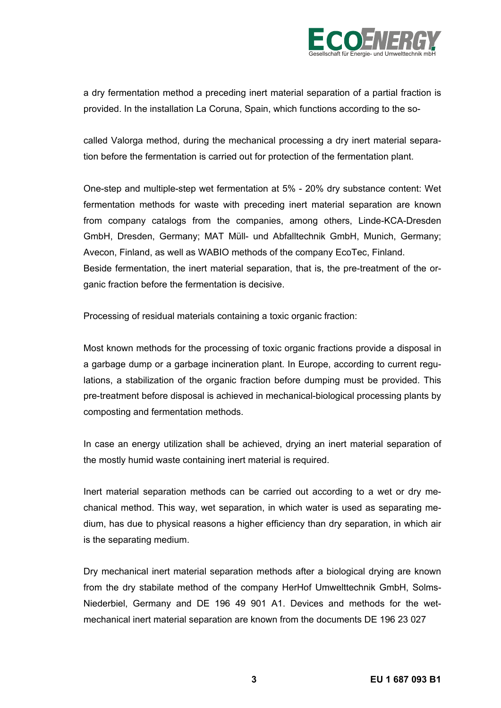

a dry fermentation method a preceding inert material separation of a partial fraction is provided. In the installation La Coruna, Spain, which functions according to the so-

called Valorga method, during the mechanical processing a dry inert material separation before the fermentation is carried out for protection of the fermentation plant.

One-step and multiple-step wet fermentation at 5% - 20% dry substance content: Wet fermentation methods for waste with preceding inert material separation are known from company catalogs from the companies, among others, Linde-KCA-Dresden GmbH, Dresden, Germany; MAT Müll- und Abfalltechnik GmbH, Munich, Germany; Avecon, Finland, as well as WABIO methods of the company EcoTec, Finland. Beside fermentation, the inert material separation, that is, the pre-treatment of the organic fraction before the fermentation is decisive.

Processing of residual materials containing a toxic organic fraction:

Most known methods for the processing of toxic organic fractions provide a disposal in a garbage dump or a garbage incineration plant. In Europe, according to current regulations, a stabilization of the organic fraction before dumping must be provided. This pre-treatment before disposal is achieved in mechanical-biological processing plants by composting and fermentation methods.

In case an energy utilization shall be achieved, drying an inert material separation of the mostly humid waste containing inert material is required.

Inert material separation methods can be carried out according to a wet or dry mechanical method. This way, wet separation, in which water is used as separating medium, has due to physical reasons a higher efficiency than dry separation, in which air is the separating medium.

Dry mechanical inert material separation methods after a biological drying are known from the dry stabilate method of the company HerHof Umwelttechnik GmbH, Solms-Niederbiel, Germany and DE 196 49 901 A1. Devices and methods for the wetmechanical inert material separation are known from the documents DE 196 23 027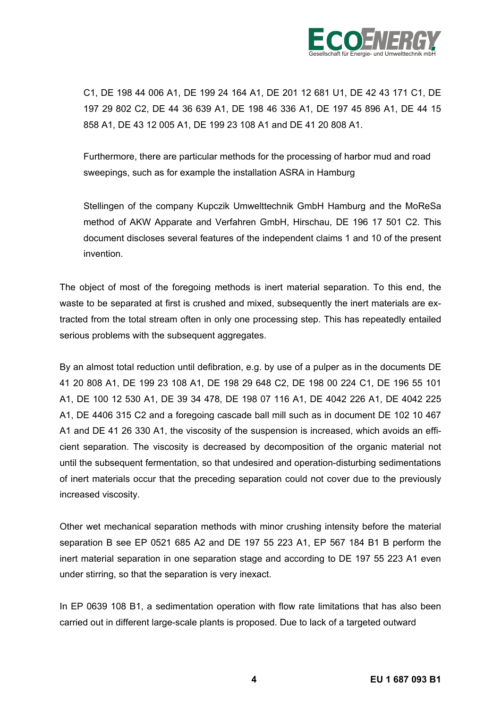

C1, DE 198 44 006 A1, DE 199 24 164 A1, DE 201 12 681 U1, DE 42 43 171 C1, DE 197 29 802 C2, DE 44 36 639 A1, DE 198 46 336 A1, DE 197 45 896 A1, DE 44 15 858 A1, DE 43 12 005 A1, DE 199 23 108 A1 and DE 41 20 808 A1.

Furthermore, there are particular methods for the processing of harbor mud and road sweepings, such as for example the installation ASRA in Hamburg

Stellingen of the company Kupczik Umwelttechnik GmbH Hamburg and the MoReSa method of AKW Apparate and Verfahren GmbH, Hirschau, DE 196 17 501 C2. This document discloses several features of the independent claims 1 and 10 of the present invention.

The object of most of the foregoing methods is inert material separation. To this end, the waste to be separated at first is crushed and mixed, subsequently the inert materials are extracted from the total stream often in only one processing step. This has repeatedly entailed serious problems with the subsequent aggregates.

By an almost total reduction until defibration, e.g. by use of a pulper as in the documents DE 41 20 808 A1, DE 199 23 108 A1, DE 198 29 648 C2, DE 198 00 224 C1, DE 196 55 101 A1, DE 100 12 530 A1, DE 39 34 478, DE 198 07 116 A1, DE 4042 226 A1, DE 4042 225 A1, DE 4406 315 C2 and a foregoing cascade ball mill such as in document DE 102 10 467 A1 and DE 41 26 330 A1, the viscosity of the suspension is increased, which avoids an efficient separation. The viscosity is decreased by decomposition of the organic material not until the subsequent fermentation, so that undesired and operation-disturbing sedimentations of inert materials occur that the preceding separation could not cover due to the previously increased viscosity.

Other wet mechanical separation methods with minor crushing intensity before the material separation B see EP 0521 685 A2 and DE 197 55 223 A1, EP 567 184 B1 B perform the inert material separation in one separation stage and according to DE 197 55 223 A1 even under stirring, so that the separation is very inexact.

In EP 0639 108 B1, a sedimentation operation with flow rate limitations that has also been carried out in different large-scale plants is proposed. Due to lack of a targeted outward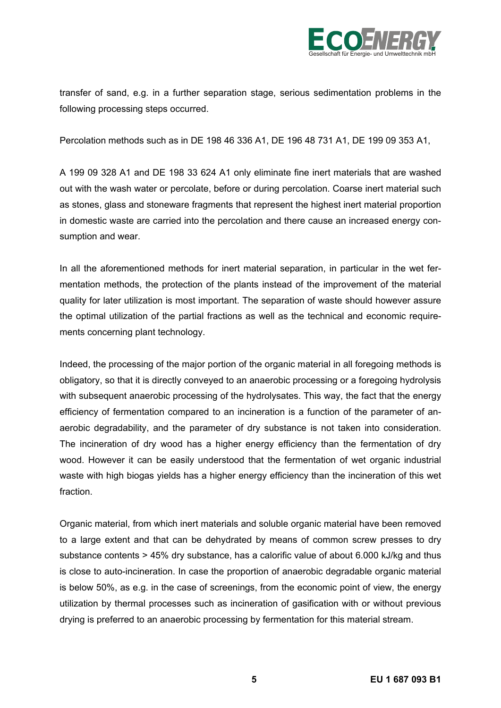

transfer of sand, e.g. in a further separation stage, serious sedimentation problems in the following processing steps occurred.

Percolation methods such as in DE 198 46 336 A1, DE 196 48 731 A1, DE 199 09 353 A1,

A 199 09 328 A1 and DE 198 33 624 A1 only eliminate fine inert materials that are washed out with the wash water or percolate, before or during percolation. Coarse inert material such as stones, glass and stoneware fragments that represent the highest inert material proportion in domestic waste are carried into the percolation and there cause an increased energy consumption and wear.

In all the aforementioned methods for inert material separation, in particular in the wet fermentation methods, the protection of the plants instead of the improvement of the material quality for later utilization is most important. The separation of waste should however assure the optimal utilization of the partial fractions as well as the technical and economic requirements concerning plant technology.

Indeed, the processing of the major portion of the organic material in all foregoing methods is obligatory, so that it is directly conveyed to an anaerobic processing or a foregoing hydrolysis with subsequent anaerobic processing of the hydrolysates. This way, the fact that the energy efficiency of fermentation compared to an incineration is a function of the parameter of anaerobic degradability, and the parameter of dry substance is not taken into consideration. The incineration of dry wood has a higher energy efficiency than the fermentation of dry wood. However it can be easily understood that the fermentation of wet organic industrial waste with high biogas yields has a higher energy efficiency than the incineration of this wet fraction.

Organic material, from which inert materials and soluble organic material have been removed to a large extent and that can be dehydrated by means of common screw presses to dry substance contents > 45% dry substance, has a calorific value of about 6.000 kJ/kg and thus is close to auto-incineration. In case the proportion of anaerobic degradable organic material is below 50%, as e.g. in the case of screenings, from the economic point of view, the energy utilization by thermal processes such as incineration of gasification with or without previous drying is preferred to an anaerobic processing by fermentation for this material stream.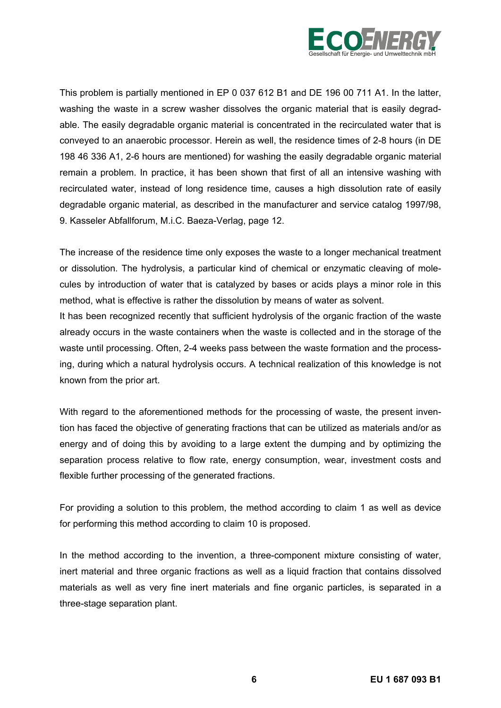

This problem is partially mentioned in EP 0 037 612 B1 and DE 196 00 711 A1. In the latter, washing the waste in a screw washer dissolves the organic material that is easily degradable. The easily degradable organic material is concentrated in the recirculated water that is conveyed to an anaerobic processor. Herein as well, the residence times of 2-8 hours (in DE 198 46 336 A1, 2-6 hours are mentioned) for washing the easily degradable organic material remain a problem. In practice, it has been shown that first of all an intensive washing with recirculated water, instead of long residence time, causes a high dissolution rate of easily degradable organic material, as described in the manufacturer and service catalog 1997/98, 9. Kasseler Abfallforum, M.i.C. Baeza-Verlag, page 12.

The increase of the residence time only exposes the waste to a longer mechanical treatment or dissolution. The hydrolysis, a particular kind of chemical or enzymatic cleaving of molecules by introduction of water that is catalyzed by bases or acids plays a minor role in this method, what is effective is rather the dissolution by means of water as solvent.

It has been recognized recently that sufficient hydrolysis of the organic fraction of the waste already occurs in the waste containers when the waste is collected and in the storage of the waste until processing. Often, 2-4 weeks pass between the waste formation and the processing, during which a natural hydrolysis occurs. A technical realization of this knowledge is not known from the prior art.

With regard to the aforementioned methods for the processing of waste, the present invention has faced the objective of generating fractions that can be utilized as materials and/or as energy and of doing this by avoiding to a large extent the dumping and by optimizing the separation process relative to flow rate, energy consumption, wear, investment costs and flexible further processing of the generated fractions.

For providing a solution to this problem, the method according to claim 1 as well as device for performing this method according to claim 10 is proposed.

In the method according to the invention, a three-component mixture consisting of water, inert material and three organic fractions as well as a liquid fraction that contains dissolved materials as well as very fine inert materials and fine organic particles, is separated in a three-stage separation plant.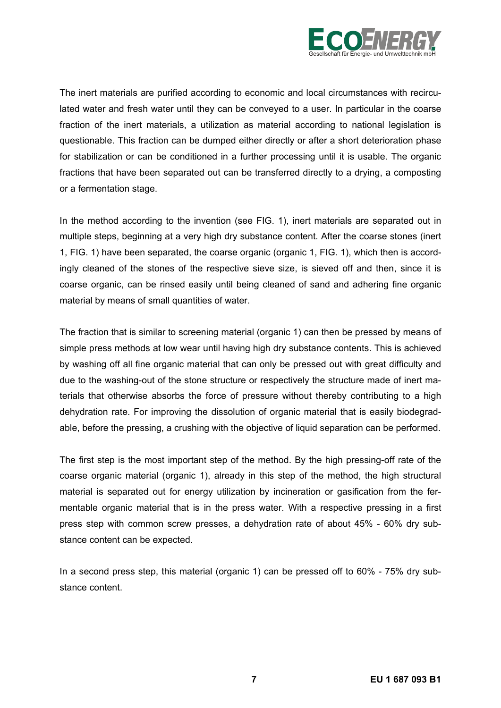

The inert materials are purified according to economic and local circumstances with recirculated water and fresh water until they can be conveyed to a user. In particular in the coarse fraction of the inert materials, a utilization as material according to national legislation is questionable. This fraction can be dumped either directly or after a short deterioration phase for stabilization or can be conditioned in a further processing until it is usable. The organic fractions that have been separated out can be transferred directly to a drying, a composting or a fermentation stage.

In the method according to the invention (see FIG. 1), inert materials are separated out in multiple steps, beginning at a very high dry substance content. After the coarse stones (inert 1, FIG. 1) have been separated, the coarse organic (organic 1, FIG. 1), which then is accordingly cleaned of the stones of the respective sieve size, is sieved off and then, since it is coarse organic, can be rinsed easily until being cleaned of sand and adhering fine organic material by means of small quantities of water.

The fraction that is similar to screening material (organic 1) can then be pressed by means of simple press methods at low wear until having high dry substance contents. This is achieved by washing off all fine organic material that can only be pressed out with great difficulty and due to the washing-out of the stone structure or respectively the structure made of inert materials that otherwise absorbs the force of pressure without thereby contributing to a high dehydration rate. For improving the dissolution of organic material that is easily biodegradable, before the pressing, a crushing with the objective of liquid separation can be performed.

The first step is the most important step of the method. By the high pressing-off rate of the coarse organic material (organic 1), already in this step of the method, the high structural material is separated out for energy utilization by incineration or gasification from the fermentable organic material that is in the press water. With a respective pressing in a first press step with common screw presses, a dehydration rate of about 45% - 60% dry substance content can be expected.

In a second press step, this material (organic 1) can be pressed off to 60% - 75% dry substance content.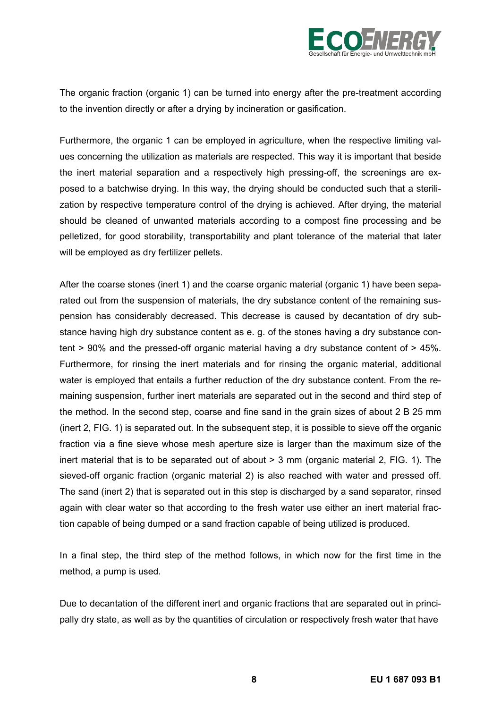

The organic fraction (organic 1) can be turned into energy after the pre-treatment according to the invention directly or after a drying by incineration or gasification.

Furthermore, the organic 1 can be employed in agriculture, when the respective limiting values concerning the utilization as materials are respected. This way it is important that beside the inert material separation and a respectively high pressing-off, the screenings are exposed to a batchwise drying. In this way, the drying should be conducted such that a sterilization by respective temperature control of the drying is achieved. After drying, the material should be cleaned of unwanted materials according to a compost fine processing and be pelletized, for good storability, transportability and plant tolerance of the material that later will be employed as dry fertilizer pellets.

After the coarse stones (inert 1) and the coarse organic material (organic 1) have been separated out from the suspension of materials, the dry substance content of the remaining suspension has considerably decreased. This decrease is caused by decantation of dry substance having high dry substance content as e. g. of the stones having a dry substance content > 90% and the pressed-off organic material having a dry substance content of > 45%. Furthermore, for rinsing the inert materials and for rinsing the organic material, additional water is employed that entails a further reduction of the dry substance content. From the remaining suspension, further inert materials are separated out in the second and third step of the method. In the second step, coarse and fine sand in the grain sizes of about 2 B 25 mm (inert 2, FIG. 1) is separated out. In the subsequent step, it is possible to sieve off the organic fraction via a fine sieve whose mesh aperture size is larger than the maximum size of the inert material that is to be separated out of about > 3 mm (organic material 2, FIG. 1). The sieved-off organic fraction (organic material 2) is also reached with water and pressed off. The sand (inert 2) that is separated out in this step is discharged by a sand separator, rinsed again with clear water so that according to the fresh water use either an inert material fraction capable of being dumped or a sand fraction capable of being utilized is produced.

In a final step, the third step of the method follows, in which now for the first time in the method, a pump is used.

Due to decantation of the different inert and organic fractions that are separated out in principally dry state, as well as by the quantities of circulation or respectively fresh water that have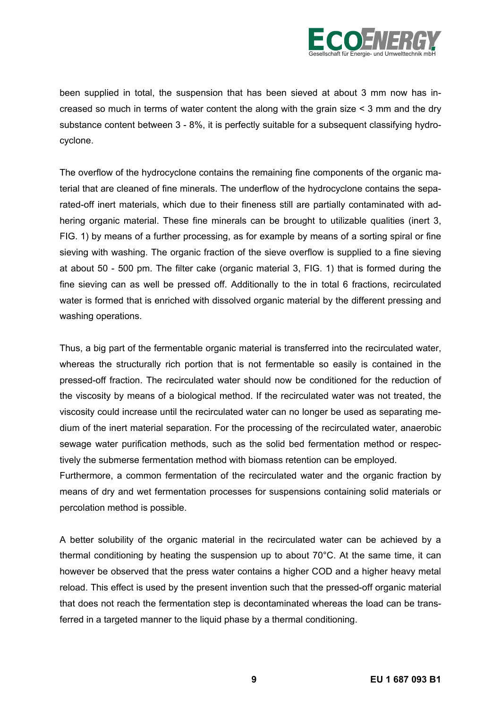

been supplied in total, the suspension that has been sieved at about 3 mm now has increased so much in terms of water content the along with the grain size < 3 mm and the dry substance content between 3 - 8%, it is perfectly suitable for a subsequent classifying hydrocyclone.

The overflow of the hydrocyclone contains the remaining fine components of the organic material that are cleaned of fine minerals. The underflow of the hydrocyclone contains the separated-off inert materials, which due to their fineness still are partially contaminated with adhering organic material. These fine minerals can be brought to utilizable qualities (inert 3, FIG. 1) by means of a further processing, as for example by means of a sorting spiral or fine sieving with washing. The organic fraction of the sieve overflow is supplied to a fine sieving at about 50 - 500 pm. The filter cake (organic material 3, FIG. 1) that is formed during the fine sieving can as well be pressed off. Additionally to the in total 6 fractions, recirculated water is formed that is enriched with dissolved organic material by the different pressing and washing operations.

Thus, a big part of the fermentable organic material is transferred into the recirculated water, whereas the structurally rich portion that is not fermentable so easily is contained in the pressed-off fraction. The recirculated water should now be conditioned for the reduction of the viscosity by means of a biological method. If the recirculated water was not treated, the viscosity could increase until the recirculated water can no longer be used as separating medium of the inert material separation. For the processing of the recirculated water, anaerobic sewage water purification methods, such as the solid bed fermentation method or respectively the submerse fermentation method with biomass retention can be employed.

Furthermore, a common fermentation of the recirculated water and the organic fraction by means of dry and wet fermentation processes for suspensions containing solid materials or percolation method is possible.

A better solubility of the organic material in the recirculated water can be achieved by a thermal conditioning by heating the suspension up to about 70°C. At the same time, it can however be observed that the press water contains a higher COD and a higher heavy metal reload. This effect is used by the present invention such that the pressed-off organic material that does not reach the fermentation step is decontaminated whereas the load can be transferred in a targeted manner to the liquid phase by a thermal conditioning.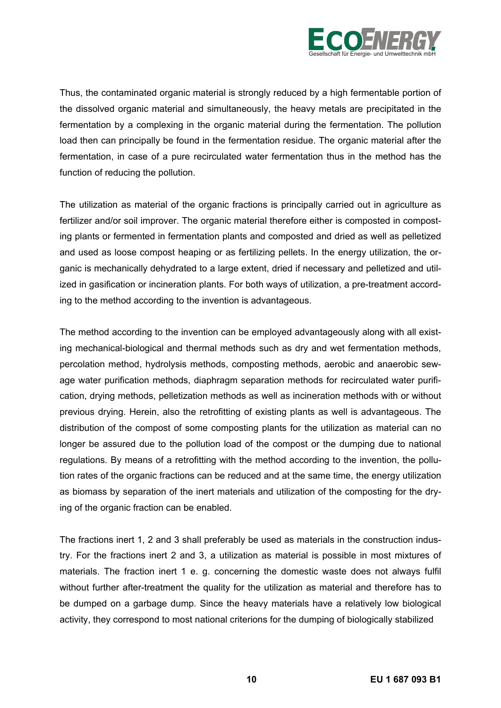

Thus, the contaminated organic material is strongly reduced by a high fermentable portion of the dissolved organic material and simultaneously, the heavy metals are precipitated in the fermentation by a complexing in the organic material during the fermentation. The pollution load then can principally be found in the fermentation residue. The organic material after the fermentation, in case of a pure recirculated water fermentation thus in the method has the function of reducing the pollution.

The utilization as material of the organic fractions is principally carried out in agriculture as fertilizer and/or soil improver. The organic material therefore either is composted in composting plants or fermented in fermentation plants and composted and dried as well as pelletized and used as loose compost heaping or as fertilizing pellets. In the energy utilization, the organic is mechanically dehydrated to a large extent, dried if necessary and pelletized and utilized in gasification or incineration plants. For both ways of utilization, a pre-treatment according to the method according to the invention is advantageous.

The method according to the invention can be employed advantageously along with all existing mechanical-biological and thermal methods such as dry and wet fermentation methods, percolation method, hydrolysis methods, composting methods, aerobic and anaerobic sewage water purification methods, diaphragm separation methods for recirculated water purification, drying methods, pelletization methods as well as incineration methods with or without previous drying. Herein, also the retrofitting of existing plants as well is advantageous. The distribution of the compost of some composting plants for the utilization as material can no longer be assured due to the pollution load of the compost or the dumping due to national regulations. By means of a retrofitting with the method according to the invention, the pollution rates of the organic fractions can be reduced and at the same time, the energy utilization as biomass by separation of the inert materials and utilization of the composting for the drying of the organic fraction can be enabled.

The fractions inert 1, 2 and 3 shall preferably be used as materials in the construction industry. For the fractions inert 2 and 3, a utilization as material is possible in most mixtures of materials. The fraction inert 1 e. g. concerning the domestic waste does not always fulfil without further after-treatment the quality for the utilization as material and therefore has to be dumped on a garbage dump. Since the heavy materials have a relatively low biological activity, they correspond to most national criterions for the dumping of biologically stabilized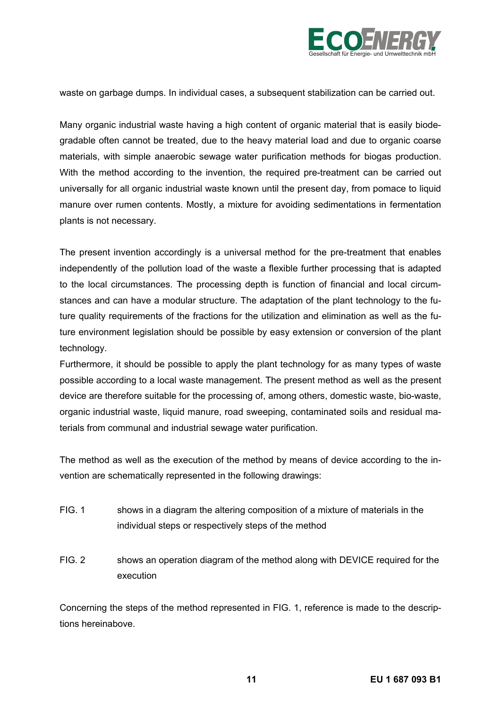

waste on garbage dumps. In individual cases, a subsequent stabilization can be carried out.

Many organic industrial waste having a high content of organic material that is easily biodegradable often cannot be treated, due to the heavy material load and due to organic coarse materials, with simple anaerobic sewage water purification methods for biogas production. With the method according to the invention, the required pre-treatment can be carried out universally for all organic industrial waste known until the present day, from pomace to liquid manure over rumen contents. Mostly, a mixture for avoiding sedimentations in fermentation plants is not necessary.

The present invention accordingly is a universal method for the pre-treatment that enables independently of the pollution load of the waste a flexible further processing that is adapted to the local circumstances. The processing depth is function of financial and local circumstances and can have a modular structure. The adaptation of the plant technology to the future quality requirements of the fractions for the utilization and elimination as well as the future environment legislation should be possible by easy extension or conversion of the plant technology.

Furthermore, it should be possible to apply the plant technology for as many types of waste possible according to a local waste management. The present method as well as the present device are therefore suitable for the processing of, among others, domestic waste, bio-waste, organic industrial waste, liquid manure, road sweeping, contaminated soils and residual materials from communal and industrial sewage water purification.

The method as well as the execution of the method by means of device according to the invention are schematically represented in the following drawings:

- FIG. 1 shows in a diagram the altering composition of a mixture of materials in the individual steps or respectively steps of the method
- FIG. 2 shows an operation diagram of the method along with DEVICE required for the execution

Concerning the steps of the method represented in FIG. 1, reference is made to the descriptions hereinabove.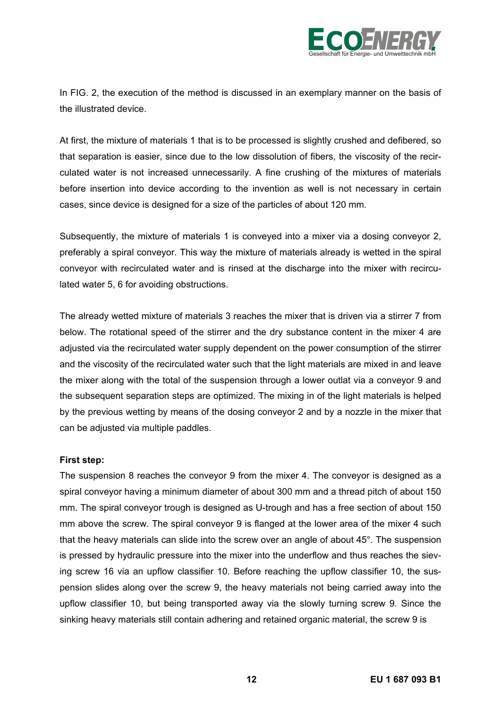

In FIG. 2, the execution of the method is discussed in an exemplary manner on the basis of the illustrated device.

At first, the mixture of materials 1 that is to be processed is slightly crushed and defibered, so that separation is easier, since due to the low dissolution of fibers, the viscosity of the recirculated water is not increased unnecessarily. A fine crushing of the mixtures of materials before insertion into device according to the invention as well is not necessary in certain cases, since device is designed for a size of the particles of about 120 mm.

Subsequently, the mixture of materials 1 is conveyed into a mixer via a dosing conveyor 2, preferably a spiral conveyor. This way the mixture of materials already is wetted in the spiral conveyor with recirculated water and is rinsed at the discharge into the mixer with recirculated water 5, 6 for avoiding obstructions.

The already wetted mixture of materials 3 reaches the mixer that is driven via a stirrer 7 from below. The rotational speed of the stirrer and the dry substance content in the mixer 4 are adjusted via the recirculated water supply dependent on the power consumption of the stirrer and the viscosity of the recirculated water such that the light materials are mixed in and leave the mixer along with the total of the suspension through a lower outlat via a conveyor 9 and the subsequent separation steps are optimized. The mixing in of the light materials is helped by the previous wetting by means of the dosing conveyor 2 and by a nozzle in the mixer that can be adjusted via multiple paddles.

# **First step:**

The suspension 8 reaches the conveyor 9 from the mixer 4. The conveyor is designed as a spiral conveyor having a minimum diameter of about 300 mm and a thread pitch of about 150 mm. The spiral conveyor trough is designed as U-trough and has a free section of about 150 mm above the screw. The spiral conveyor 9 is flanged at the lower area of the mixer 4 such that the heavy materials can slide into the screw over an angle of about 45°. The suspension is pressed by hydraulic pressure into the mixer into the underflow and thus reaches the sieving screw 16 via an upflow classifier 10. Before reaching the upflow classifier 10, the suspension slides along over the screw 9, the heavy materials not being carried away into the upflow classifier 10, but being transported away via the slowly turning screw 9. Since the sinking heavy materials still contain adhering and retained organic material, the screw 9 is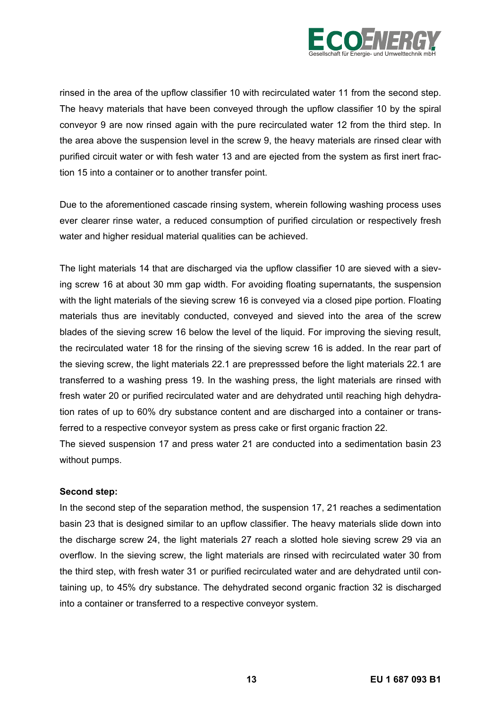

rinsed in the area of the upflow classifier 10 with recirculated water 11 from the second step. The heavy materials that have been conveyed through the upflow classifier 10 by the spiral conveyor 9 are now rinsed again with the pure recirculated water 12 from the third step. In the area above the suspension level in the screw 9, the heavy materials are rinsed clear with purified circuit water or with fesh water 13 and are ejected from the system as first inert fraction 15 into a container or to another transfer point.

Due to the aforementioned cascade rinsing system, wherein following washing process uses ever clearer rinse water, a reduced consumption of purified circulation or respectively fresh water and higher residual material qualities can be achieved.

The light materials 14 that are discharged via the upflow classifier 10 are sieved with a sieving screw 16 at about 30 mm gap width. For avoiding floating supernatants, the suspension with the light materials of the sieving screw 16 is conveyed via a closed pipe portion. Floating materials thus are inevitably conducted, conveyed and sieved into the area of the screw blades of the sieving screw 16 below the level of the liquid. For improving the sieving result, the recirculated water 18 for the rinsing of the sieving screw 16 is added. In the rear part of the sieving screw, the light materials 22.1 are prepresssed before the light materials 22.1 are transferred to a washing press 19. In the washing press, the light materials are rinsed with fresh water 20 or purified recirculated water and are dehydrated until reaching high dehydration rates of up to 60% dry substance content and are discharged into a container or transferred to a respective conveyor system as press cake or first organic fraction 22.

The sieved suspension 17 and press water 21 are conducted into a sedimentation basin 23 without pumps.

#### **Second step:**

In the second step of the separation method, the suspension 17, 21 reaches a sedimentation basin 23 that is designed similar to an upflow classifier. The heavy materials slide down into the discharge screw 24, the light materials 27 reach a slotted hole sieving screw 29 via an overflow. In the sieving screw, the light materials are rinsed with recirculated water 30 from the third step, with fresh water 31 or purified recirculated water and are dehydrated until containing up, to 45% dry substance. The dehydrated second organic fraction 32 is discharged into a container or transferred to a respective conveyor system.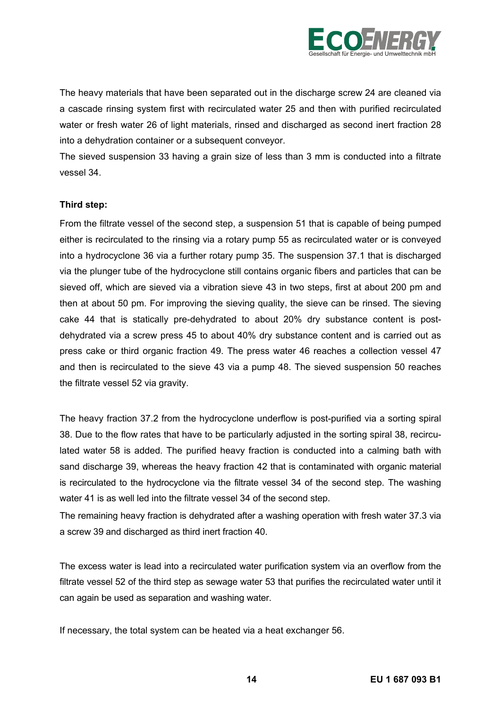

The heavy materials that have been separated out in the discharge screw 24 are cleaned via a cascade rinsing system first with recirculated water 25 and then with purified recirculated water or fresh water 26 of light materials, rinsed and discharged as second inert fraction 28 into a dehydration container or a subsequent conveyor.

The sieved suspension 33 having a grain size of less than 3 mm is conducted into a filtrate vessel 34.

#### **Third step:**

From the filtrate vessel of the second step, a suspension 51 that is capable of being pumped either is recirculated to the rinsing via a rotary pump 55 as recirculated water or is conveyed into a hydrocyclone 36 via a further rotary pump 35. The suspension 37.1 that is discharged via the plunger tube of the hydrocyclone still contains organic fibers and particles that can be sieved off, which are sieved via a vibration sieve 43 in two steps, first at about 200 pm and then at about 50 pm. For improving the sieving quality, the sieve can be rinsed. The sieving cake 44 that is statically pre-dehydrated to about 20% dry substance content is postdehydrated via a screw press 45 to about 40% dry substance content and is carried out as press cake or third organic fraction 49. The press water 46 reaches a collection vessel 47 and then is recirculated to the sieve 43 via a pump 48. The sieved suspension 50 reaches the filtrate vessel 52 via gravity.

The heavy fraction 37.2 from the hydrocyclone underflow is post-purified via a sorting spiral 38. Due to the flow rates that have to be particularly adjusted in the sorting spiral 38, recirculated water 58 is added. The purified heavy fraction is conducted into a calming bath with sand discharge 39, whereas the heavy fraction 42 that is contaminated with organic material is recirculated to the hydrocyclone via the filtrate vessel 34 of the second step. The washing water 41 is as well led into the filtrate vessel 34 of the second step.

The remaining heavy fraction is dehydrated after a washing operation with fresh water 37.3 via a screw 39 and discharged as third inert fraction 40.

The excess water is lead into a recirculated water purification system via an overflow from the filtrate vessel 52 of the third step as sewage water 53 that purifies the recirculated water until it can again be used as separation and washing water.

If necessary, the total system can be heated via a heat exchanger 56.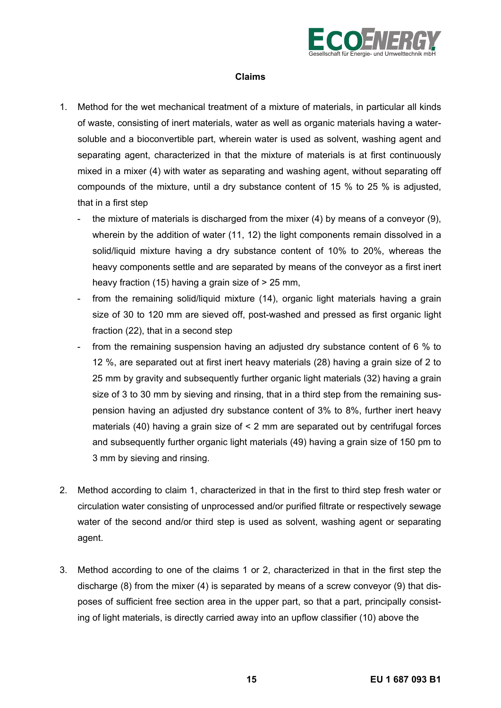

## **Claims**

- 1. Method for the wet mechanical treatment of a mixture of materials, in particular all kinds of waste, consisting of inert materials, water as well as organic materials having a watersoluble and a bioconvertible part, wherein water is used as solvent, washing agent and separating agent, characterized in that the mixture of materials is at first continuously mixed in a mixer (4) with water as separating and washing agent, without separating off compounds of the mixture, until a dry substance content of 15 % to 25 % is adjusted, that in a first step
	- the mixture of materials is discharged from the mixer (4) by means of a conveyor (9), wherein by the addition of water (11, 12) the light components remain dissolved in a solid/liquid mixture having a dry substance content of 10% to 20%, whereas the heavy components settle and are separated by means of the conveyor as a first inert heavy fraction (15) having a grain size of > 25 mm,
	- from the remaining solid/liquid mixture (14), organic light materials having a grain size of 30 to 120 mm are sieved off, post-washed and pressed as first organic light fraction (22), that in a second step
	- from the remaining suspension having an adjusted dry substance content of 6 % to 12 %, are separated out at first inert heavy materials (28) having a grain size of 2 to 25 mm by gravity and subsequently further organic light materials (32) having a grain size of 3 to 30 mm by sieving and rinsing, that in a third step from the remaining suspension having an adjusted dry substance content of 3% to 8%, further inert heavy materials (40) having a grain size of < 2 mm are separated out by centrifugal forces and subsequently further organic light materials (49) having a grain size of 150 pm to 3 mm by sieving and rinsing.
- 2. Method according to claim 1, characterized in that in the first to third step fresh water or circulation water consisting of unprocessed and/or purified filtrate or respectively sewage water of the second and/or third step is used as solvent, washing agent or separating agent.
- 3. Method according to one of the claims 1 or 2, characterized in that in the first step the discharge (8) from the mixer (4) is separated by means of a screw conveyor (9) that disposes of sufficient free section area in the upper part, so that a part, principally consisting of light materials, is directly carried away into an upflow classifier (10) above the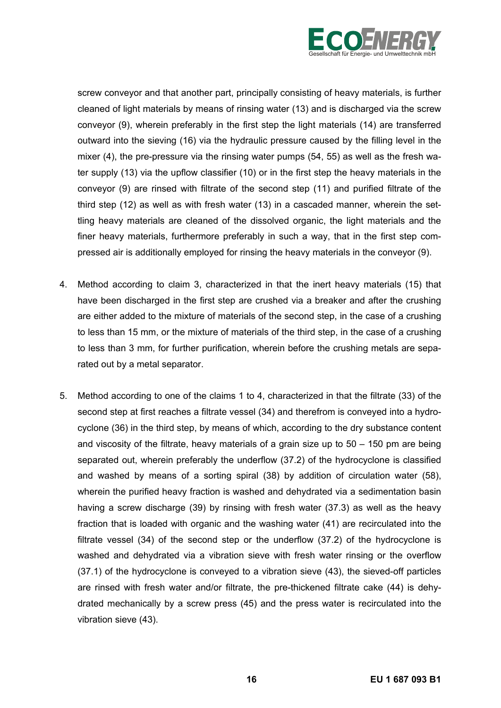

screw conveyor and that another part, principally consisting of heavy materials, is further cleaned of light materials by means of rinsing water (13) and is discharged via the screw conveyor (9), wherein preferably in the first step the light materials (14) are transferred outward into the sieving (16) via the hydraulic pressure caused by the filling level in the mixer (4), the pre-pressure via the rinsing water pumps (54, 55) as well as the fresh water supply (13) via the upflow classifier (10) or in the first step the heavy materials in the conveyor (9) are rinsed with filtrate of the second step (11) and purified filtrate of the third step (12) as well as with fresh water (13) in a cascaded manner, wherein the settling heavy materials are cleaned of the dissolved organic, the light materials and the finer heavy materials, furthermore preferably in such a way, that in the first step compressed air is additionally employed for rinsing the heavy materials in the conveyor (9).

- 4. Method according to claim 3, characterized in that the inert heavy materials (15) that have been discharged in the first step are crushed via a breaker and after the crushing are either added to the mixture of materials of the second step, in the case of a crushing to less than 15 mm, or the mixture of materials of the third step, in the case of a crushing to less than 3 mm, for further purification, wherein before the crushing metals are separated out by a metal separator.
- 5. Method according to one of the claims 1 to 4, characterized in that the filtrate (33) of the second step at first reaches a filtrate vessel (34) and therefrom is conveyed into a hydrocyclone (36) in the third step, by means of which, according to the dry substance content and viscosity of the filtrate, heavy materials of a grain size up to  $50 - 150$  pm are being separated out, wherein preferably the underflow (37.2) of the hydrocyclone is classified and washed by means of a sorting spiral (38) by addition of circulation water (58), wherein the purified heavy fraction is washed and dehydrated via a sedimentation basin having a screw discharge (39) by rinsing with fresh water (37.3) as well as the heavy fraction that is loaded with organic and the washing water (41) are recirculated into the filtrate vessel (34) of the second step or the underflow (37.2) of the hydrocyclone is washed and dehydrated via a vibration sieve with fresh water rinsing or the overflow (37.1) of the hydrocyclone is conveyed to a vibration sieve (43), the sieved-off particles are rinsed with fresh water and/or filtrate, the pre-thickened filtrate cake (44) is dehydrated mechanically by a screw press (45) and the press water is recirculated into the vibration sieve (43).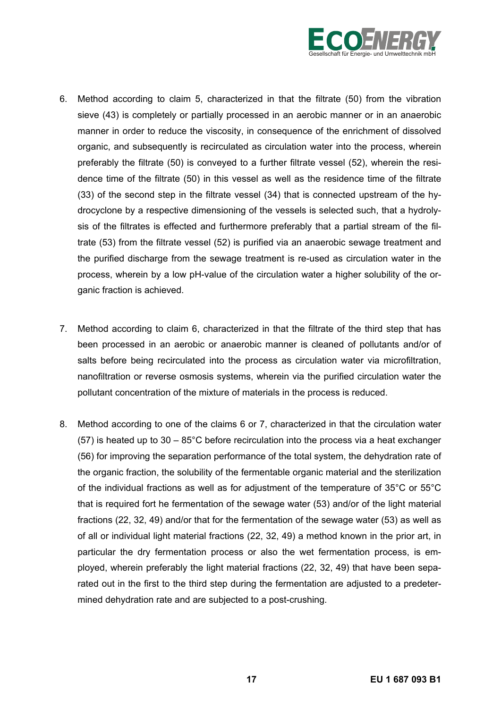

- 6. Method according to claim 5, characterized in that the filtrate (50) from the vibration sieve (43) is completely or partially processed in an aerobic manner or in an anaerobic manner in order to reduce the viscosity, in consequence of the enrichment of dissolved organic, and subsequently is recirculated as circulation water into the process, wherein preferably the filtrate (50) is conveyed to a further filtrate vessel (52), wherein the residence time of the filtrate (50) in this vessel as well as the residence time of the filtrate (33) of the second step in the filtrate vessel (34) that is connected upstream of the hydrocyclone by a respective dimensioning of the vessels is selected such, that a hydrolysis of the filtrates is effected and furthermore preferably that a partial stream of the filtrate (53) from the filtrate vessel (52) is purified via an anaerobic sewage treatment and the purified discharge from the sewage treatment is re-used as circulation water in the process, wherein by a low pH-value of the circulation water a higher solubility of the organic fraction is achieved.
- 7. Method according to claim 6, characterized in that the filtrate of the third step that has been processed in an aerobic or anaerobic manner is cleaned of pollutants and/or of salts before being recirculated into the process as circulation water via microfiltration, nanofiltration or reverse osmosis systems, wherein via the purified circulation water the pollutant concentration of the mixture of materials in the process is reduced.
- 8. Method according to one of the claims 6 or 7, characterized in that the circulation water (57) is heated up to  $30 - 85^{\circ}$ C before recirculation into the process via a heat exchanger (56) for improving the separation performance of the total system, the dehydration rate of the organic fraction, the solubility of the fermentable organic material and the sterilization of the individual fractions as well as for adjustment of the temperature of 35°C or 55°C that is required fort he fermentation of the sewage water (53) and/or of the light material fractions (22, 32, 49) and/or that for the fermentation of the sewage water (53) as well as of all or individual light material fractions (22, 32, 49) a method known in the prior art, in particular the dry fermentation process or also the wet fermentation process, is employed, wherein preferably the light material fractions (22, 32, 49) that have been separated out in the first to the third step during the fermentation are adjusted to a predetermined dehydration rate and are subjected to a post-crushing.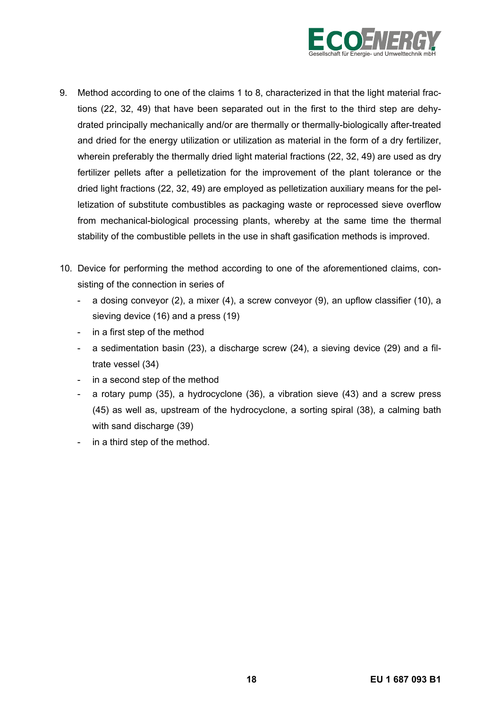

- 9. Method according to one of the claims 1 to 8, characterized in that the light material fractions (22, 32, 49) that have been separated out in the first to the third step are dehydrated principally mechanically and/or are thermally or thermally-biologically after-treated and dried for the energy utilization or utilization as material in the form of a dry fertilizer, wherein preferably the thermally dried light material fractions (22, 32, 49) are used as dry fertilizer pellets after a pelletization for the improvement of the plant tolerance or the dried light fractions (22, 32, 49) are employed as pelletization auxiliary means for the pelletization of substitute combustibles as packaging waste or reprocessed sieve overflow from mechanical-biological processing plants, whereby at the same time the thermal stability of the combustible pellets in the use in shaft gasification methods is improved.
- 10. Device for performing the method according to one of the aforementioned claims, consisting of the connection in series of
	- a dosing conveyor (2), a mixer (4), a screw conveyor (9), an upflow classifier (10), a sieving device (16) and a press (19)
	- in a first step of the method
	- a sedimentation basin (23), a discharge screw (24), a sieving device (29) and a filtrate vessel (34)
	- in a second step of the method
	- a rotary pump (35), a hydrocyclone (36), a vibration sieve (43) and a screw press (45) as well as, upstream of the hydrocyclone, a sorting spiral (38), a calming bath with sand discharge (39)
	- in a third step of the method.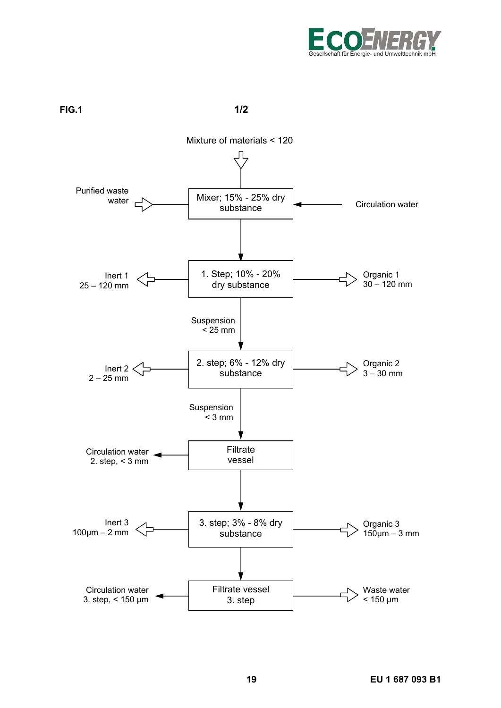

**FIG.1** 1/2